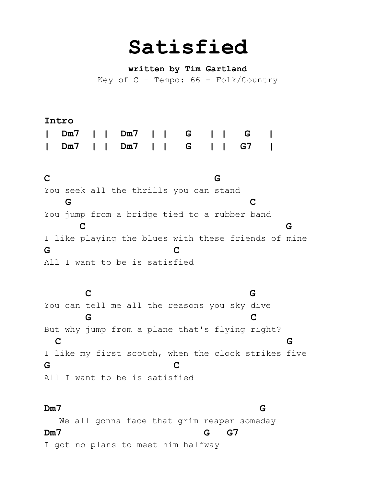## **Satisfied**

**written by Tim Gartland**

Key of  $C$  - Tempo: 66 - Folk/Country

**Intro | Dm7 | | Dm7 | | G | | G | | Dm7 | | Dm7 | | G | | G7 |**

**C G** You seek all the thrills you can stand  **G C** You jump from a bridge tied to a rubber band  **C G** I like playing the blues with these friends of mine **G C** All I want to be is satisfied

 **C G** You can tell me all the reasons you sky dive **G** C But why jump from a plane that's flying right? **C G** I like my first scotch, when the clock strikes five **G C** All I want to be is satisfied

## **Dm7 G**

We all gonna face that grim reaper someday **Dm7 G G7** I got no plans to meet him halfway